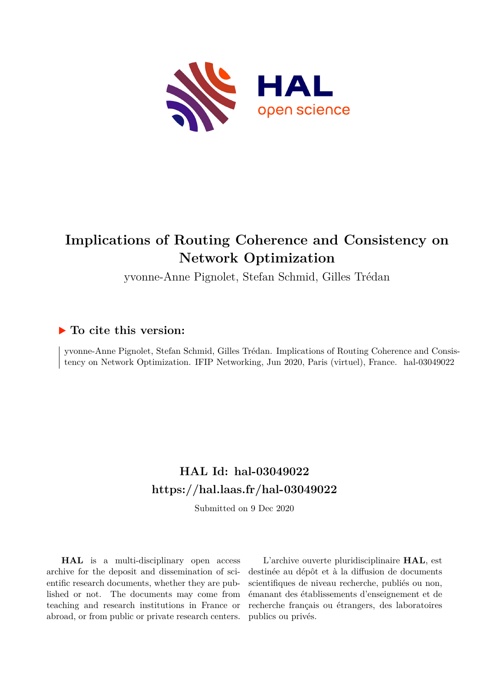

# **Implications of Routing Coherence and Consistency on Network Optimization**

yvonne-Anne Pignolet, Stefan Schmid, Gilles Trédan

# **To cite this version:**

yvonne-Anne Pignolet, Stefan Schmid, Gilles Trédan. Implications of Routing Coherence and Consistency on Network Optimization. IFIP Networking, Jun 2020, Paris (virtuel), France. hal-03049022

# **HAL Id: hal-03049022 <https://hal.laas.fr/hal-03049022>**

Submitted on 9 Dec 2020

**HAL** is a multi-disciplinary open access archive for the deposit and dissemination of scientific research documents, whether they are published or not. The documents may come from teaching and research institutions in France or abroad, or from public or private research centers.

L'archive ouverte pluridisciplinaire **HAL**, est destinée au dépôt et à la diffusion de documents scientifiques de niveau recherche, publiés ou non, émanant des établissements d'enseignement et de recherche français ou étrangers, des laboratoires publics ou privés.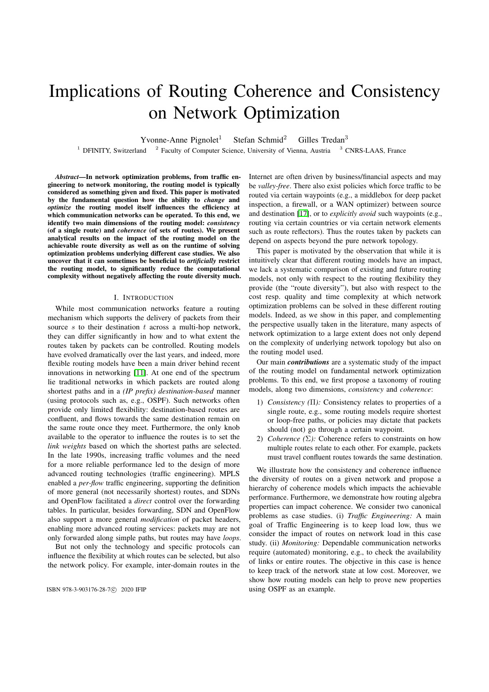# Implications of Routing Coherence and Consistency on Network Optimization

Yvonne-Anne Pignolet<sup>1</sup> Stefan Schmid<sup>2</sup> Gilles Tredan<sup>3</sup>

 $1$  DFINITY, Switzerland  $2$  Faculty of Computer Science, University of Vienna, Austria  $3$  CNRS-LAAS, France

*Abstract*—In network optimization problems, from traffic engineering to network monitoring, the routing model is typically considered as something given and fixed. This paper is motivated by the fundamental question how the ability to *change* and *optimize* the routing model itself influences the efficiency at which communication networks can be operated. To this end, we identify two main dimensions of the routing model: *consistency* (of a single route) and *coherence* (of sets of routes). We present analytical results on the impact of the routing model on the achievable route diversity as well as on the runtime of solving optimization problems underlying different case studies. We also uncover that it can sometimes be beneficial to *artificially* restrict the routing model, to significantly reduce the computational complexity without negatively affecting the route diversity much.

#### I. INTRODUCTION

While most communication networks feature a routing mechanism which supports the delivery of packets from their source *s* to their destination *t* across a multi-hop network, they can differ significantly in how and to what extent the routes taken by packets can be controlled. Routing models have evolved dramatically over the last years, and indeed, more flexible routing models have been a main driver behind recent innovations in networking  $[11]$ . At one end of the spectrum lie traditional networks in which packets are routed along shortest paths and in a *(IP prefix) destination-based* manner (using protocols such as, e.g., OSPF). Such networks often provide only limited flexibility: destination-based routes are confluent, and flows towards the same destination remain on the same route once they meet. Furthermore, the only knob available to the operator to influence the routes is to set the *link weights* based on which the shortest paths are selected. In the late 1990s, increasing traffic volumes and the need for a more reliable performance led to the design of more advanced routing technologies (traffic engineering). MPLS enabled a *per-flow* traffic engineering, supporting the definition of more general (not necessarily shortest) routes, and SDNs and OpenFlow facilitated a *direct* control over the forwarding tables. In particular, besides forwarding, SDN and OpenFlow also support a more general *modification* of packet headers, enabling more advanced routing services: packets may are not only forwarded along simple paths, but routes may have *loops*.

But not only the technology and specific protocols can influence the flexibility at which routes can be selected, but also the network policy. For example, inter-domain routes in the

Internet are often driven by business/financial aspects and may be *valley-free*. There also exist policies which force traffic to be routed via certain waypoints (e.g., a middlebox for deep packet inspection, a firewall, or a WAN optimizer) between source and destination [17], or to *explicitly avoid* such waypoints (e.g., routing via certain countries or via certain network elements such as route reflectors). Thus the routes taken by packets can depend on aspects beyond the pure network topology.

This paper is motivated by the observation that while it is intuitively clear that different routing models have an impact, we lack a systematic comparison of existing and future routing models, not only with respect to the routing flexibility they provide (the "route diversity"), but also with respect to the cost resp. quality and time complexity at which network optimization problems can be solved in these different routing models. Indeed, as we show in this paper, and complementing the perspective usually taken in the literature, many aspects of network optimization to a large extent does not only depend on the complexity of underlying network topology but also on the routing model used.

Our main *contributions* are a systematic study of the impact of the routing model on fundamental network optimization problems. To this end, we first propose a taxonomy of routing models, along two dimensions, *consistency* and *coherence*:

- 1) *Consistency (II):* Consistency relates to properties of a single route, e.g., some routing models require shortest or loop-free paths, or policies may dictate that packets should (not) go through a certain waypoint.
- 2) *Coherence* ( $\Sigma$ ): Coherence refers to constraints on how multiple routes relate to each other. For example, packets must travel confluent routes towards the same destination.

We illustrate how the consistency and coherence influence the diversity of routes on a given network and propose a hierarchy of coherence models which impacts the achievable performance. Furthermore, we demonstrate how routing algebra properties can impact coherence. We consider two canonical problems as case studies. (i) *Traffic Engineering:* A main goal of Traffic Engineering is to keep load low, thus we consider the impact of routes on network load in this case study. (ii) *Monitoring:* Dependable communication networks require (automated) monitoring, e.g., to check the availability of links or entire routes. The objective in this case is hence to keep track of the network state at low cost. Moreover, we show how routing models can help to prove new properties ISBN 978-3-903176-28-7<sup>c</sup> 2020 IFIP using OSPF as an example.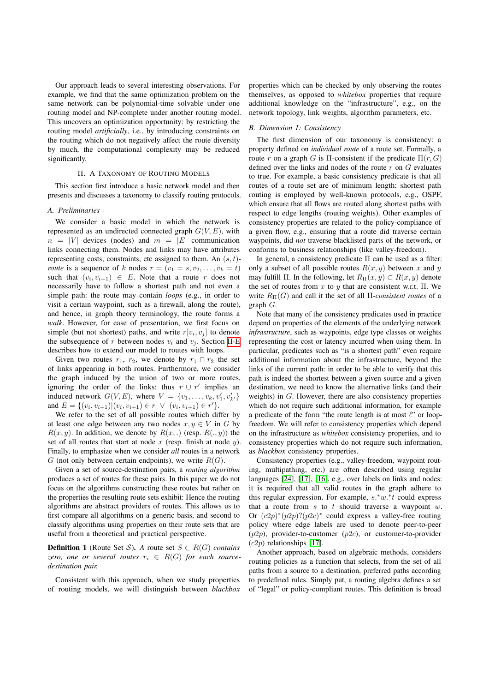Our approach leads to several interesting observations. For example, we find that the same optimization problem on the same network can be polynomial-time solvable under one routing model and NP-complete under another routing model. This uncovers an optimization opportunity: by restricting the routing model *artificially*, i.e., by introducing constraints on the routing which do not negatively affect the route diversity by much, the computational complexity may be reduced significantly.

#### II. A TAXONOMY OF ROUTING MODELS

This section first introduce a basic network model and then presents and discusses a taxonomy to classify routing protocols.

# *A. Preliminaries*

We consider a basic model in which the network is represented as an undirected connected graph *G*(*V,E*), with  $n = |V|$  devices (nodes) and  $m = |E|$  communication links connecting them. Nodes and links may have attributes representing costs, constraints, etc assigned to them. An (*s, t*) *route* is a sequence of *k* nodes  $r = (v_1 = s, v_2, \dots, v_k = t)$ such that  $(v_i, v_{i+1}) \in E$ . Note that a route *r* does not necessarily have to follow a shortest path and not even a simple path: the route may contain *loops* (e.g., in order to visit a certain waypoint, such as a firewall, along the route), and hence, in graph theory terminology, the route forms a *walk*. However, for ease of presentation, we first focus on simple (but not shortest) paths, and write  $r[v_i, v_j]$  to denote the subsequence of *r* between nodes  $v_i$  and  $v_j$ . Section II-E describes how to extend our model to routes with loops.

Given two routes  $r_1$ ,  $r_2$ , we denote by  $r_1 \cap r_2$  the set of links appearing in both routes. Furthermore, we consider the graph induced by the union of two or more routes, ignoring the order of the links: thus  $r \cup r'$  implies an induced network  $G(V, E)$ , where  $V = \{v_1, \ldots, v_k, v'_1, v'_{k'}\}$ and  $E = \{(v_i, v_{i+1}) | (v_i, v_{i+1}) \in r \lor (v_i, v_{i+1}) \in r'\}.$ 

We refer to the set of all possible routes which differ by at least one edge between any two nodes  $x, y \in V$  in *G* by  $R(x, y)$ . In addition, we denote by  $R(x,.)$  (resp.  $R(.,y)$ ) the set of all routes that start at node *x* (resp. finish at node *y*). Finally, to emphasize when we consider *all* routes in a network *G* (not only between certain endpoints), we write *R*(*G*).

Given a set of source-destination pairs, a *routing algorithm* produces a set of routes for these pairs. In this paper we do not focus on the algorithms constructing these routes but rather on the properties the resulting route sets exhibit: Hence the routing algorithms are abstract providers of routes. This allows us to first compare all algorithms on a generic basis, and second to classify algorithms using properties on their route sets that are useful from a theoretical and practical perspective.

**Definition 1** (Route Set *S*). *A* route set  $S \subset R(G)$  *contains zero, one or several routes*  $r_i \in R(G)$  *for each sourcedestination pair.*

Consistent with this approach, when we study properties of routing models, we will distinguish between *blackbox* properties which can be checked by only observing the routes themselves, as opposed to *whitebox* properties that require additional knowledge on the "infrastructure", e.g., on the network topology, link weights, algorithm parameters, etc.

#### *B. Dimension 1: Consistency*

The first dimension of our taxonomy is consistency: a property defined on *individual route* of a route set. Formally, a route *r* on a graph *G* is  $\Pi$ -consistent if the predicate  $\Pi(r, G)$ defined over the links and nodes of the route *r* on *G* evaluates to true. For example, a basic consistency predicate is that all routes of a route set are of minimum length: shortest path routing is employed by well-known protocols, e.g., OSPF, which ensure that all flows are routed along shortest paths with respect to edge lengths (routing weights). Other examples of consistency properties are related to the policy-compliance of a given flow, e.g., ensuring that a route did traverse certain waypoints, did *not* traverse blacklisted parts of the network, or conforms to business relationships (like valley-freedom).

In general, a consistency predicate  $\Pi$  can be used as a filter: only a subset of all possible routes  $R(x, y)$  between x and y may fulfill  $\Pi$ . In the following, let  $R_{\Pi}(x, y) \subset R(x, y)$  denote the set of routes from  $x$  to  $y$  that are consistent w.r.t.  $\Pi$ . We write  $R_{\Pi}(G)$  and call it the set of all  $\Pi$ -consistent routes of a graph *G*.

Note that many of the consistency predicates used in practice depend on properties of the elements of the underlying network *infrastructure*, such as waypoints, edge type classes or weights representing the cost or latency incurred when using them. In particular, predicates such as "is a shortest path" even require additional information about the infrastructure, beyond the links of the current path: in order to be able to verify that this path is indeed the shortest between a given source and a given destination, we need to know the alternative links (and their weights) in *G*. However, there are also consistency properties which do not require such additional information, for example a predicate of the form "the route length is at most  $\ell$ " or loopfreedom. We will refer to consistency properties which depend on the infrastructure as *whitebox* consistency properties, and to consistency properties which do not require such information, as *blackbox* consistency properties.

Consistency properties (e.g., valley-freedom, waypoint routing, multipathing, etc.) are often described using regular languages  $[24]$ ,  $[17]$ ,  $[16]$ , e.g., over labels on links and nodes: it is required that all valid routes in the graph adhere to this regular expression. For example,  $s.*w.*t$  could express that a route from *s* to *t* should traverse a waypoint *w*. Or  $(c2p)*(p2p)!(p2c)*$  could express a valley-free routing policy where edge labels are used to denote peer-to-peer (*p*2*p*), provider-to-customer (*p*2*c*), or customer-to-provider  $(c2p)$  relationships  $[17]$ .

Another approach, based on algebraic methods, considers routing policies as a function that selects, from the set of all paths from a source to a destination, preferred paths according to predefined rules. Simply put, a routing algebra defines a set of "legal" or policy-compliant routes. This definition is broad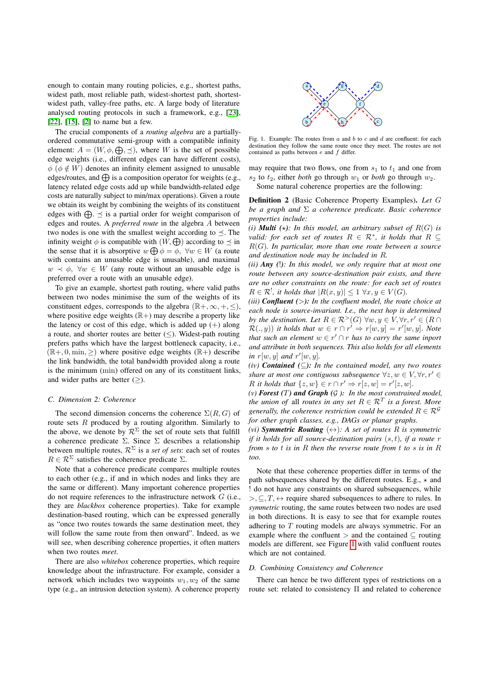enough to contain many routing policies, e.g., shortest paths, widest path, most reliable path, widest-shortest path, shortestwidest path, valley-free paths, etc. A large body of literature analysed routing protocols in such a framework, e.g., [23],  $[22]$ ,  $[15]$ ,  $[2]$  to name but a few.

The crucial components of a *routing algebra* are a partiallyordered commutative semi-group with a compatible infinity element:  $A = (W, \phi, \bigoplus, \preceq)$ , where *W* is the set of possible edge weights (i.e., different edges can have different costs),  $\phi$  ( $\phi \notin W$ ) denotes an infinity element assigned to unusable edges/routes, and  $\oplus$  is a composition operator for weights (e.g., latency related edge costs add up while bandwidth-related edge costs are naturally subject to min/max operations). Given a route we obtain its weight by combining the weights of its constituent edges with  $\bigoplus$ .  $\prec$  is a partial order for weight comparison of edges and routes. A *preferred route* in the algebra *A* between two nodes is one with the smallest weight according to  $\prec$ . The infinity weight  $\phi$  is compatible with  $(W, \bigoplus)$  according to  $\preceq$  in the sense that it is absorptive  $w \bigoplus \phi = \phi$ ,  $\forall w \in W$  (a route with contains an unusable edge is unusable), and maximal  $w \prec \phi$ ,  $\forall w \in W$  (any route without an unusable edge is preferred over a route with an unusable edge).

To give an example, shortest path routing, where valid paths between two nodes minimise the sum of the weights of its constituent edges, corresponds to the algebra  $(\mathbb{R}^+, \infty, +, \leq),$ where positive edge weights  $(\mathbb{R}+)$  may describe a property like the latency or cost of this edge, which is added up  $(+)$  along a route, and shorter routes are better  $(\le)$ . Widest-path routing prefers paths which have the largest bottleneck capacity, i.e.,  $(\mathbb{R}+, 0, \min, \geq)$  where positive edge weights  $(\mathbb{R}+)$  describe the link bandwidth, the total bandwidth provided along a route is the minimum (min) offered on any of its constituent links, and wider paths are better  $(\ge)$ .

## *C. Dimension 2: Coherence*

The second dimension concerns the coherence  $\Sigma(R, G)$  of route sets *R* produced by a routing algorithm. Similarly to the above, we denote by  $\mathcal{R}^{\Sigma}$  the set of route sets that fulfill a coherence predicate  $\Sigma$ . Since  $\Sigma$  describes a relationship between multiple routes,  $\mathcal{R}^{\Sigma}$  is a *set of sets*: each set of routes  $R \in \mathcal{R}^{\Sigma}$  satisfies the coherence predicate  $\Sigma$ .

Note that a coherence predicate compares multiple routes to each other (e.g., if and in which nodes and links they are the same or different). Many important coherence properties do not require references to the infrastructure network *G* (i.e., they are *blackbox* coherence properties). Take for example destination-based routing, which can be expressed generally as "once two routes towards the same destination meet, they will follow the same route from then onward". Indeed, as we will see, when describing coherence properties, it often matters when two routes *meet*.

There are also *whitebox* coherence properties, which require knowledge about the infrastructure. For example, consider a network which includes two waypoints  $w_1, w_2$  of the same type (e.g., an intrusion detection system). A coherence property



Fig. 1. Example: The routes from *a* and *b* to *c* and *d* are confluent: for each destination they follow the same route once they meet. The routes are not contained as paths between *e* and *f* differ.

may require that two flows, one from  $s_1$  to  $t_1$  and one from  $s_2$  to  $t_2$ , either *both* go through  $w_1$  or *both* go through  $w_2$ . Some natural coherence properties are the following:

Definition 2 (Basic Coherence Property Examples). *Let G be a graph and*  $\Sigma$  *a coherence predicate. Basic coherence properties include:*

*(i) Multi*  $(\star)$ *: In this model, an arbitrary subset of*  $R(G)$  *is valid: for each set of routes*  $R \in \mathcal{R}^*$ *, it holds that*  $R \subseteq$ *R*(*G*)*. In particular, more than one route between a source and destination node may be included in R.*

*(ii) Any (*!*): In this model, we only require that at most one route between any source-destination pair exists, and there are no other constraints on the route: for each set of routes*  $R \in \mathcal{R}^!$ , it holds that  $|R(x, y)| \leq 1 \ \forall x, y \in V(G)$ .

*(iii) Confluent (>): In the confluent model, the route choice at each node is source-invariant. I.e., the next hop is determined by the destination. Let*  $R \in \mathbb{R}^>$  (*G*)  $\forall w, y \in V, \forall r, r' \in (R \cap$  $\mathcal{R}(.,y)$ ) *it holds that*  $w \in r \cap r' \Rightarrow r[w,y] = r'[w,y]$ *. Note that such an element*  $w \in r' \cap r$  *has to carry the same inport and attribute in both sequences. This also holds for all elements in*  $r[w, y]$  *and*  $r'[w, y]$ *.* 

*(iv) Contained* ( $\subseteq$ ): *In the contained model, any two routes share at most one contiguous subsequence*  $\forall z, w \in V, \forall r, r' \in$ *R it holds that*  $\{z, w\} \in r \cap r' \Rightarrow r[z, w] = r'[z, w]$ *.* 

*(v) Forest (T) and Graph (G ): In the most constrained model, the union of all routes in any set*  $R \in \mathcal{R}^T$  *is a forest. More generally, the coherence restriction could be extended*  $R \in \mathcal{R}^{\mathcal{G}}$ *for other graph classes, e.g., DAGs or planar graphs.*

*(vi)* **Symmetric Routing**  $(\leftrightarrow)$ : A set of routes R is symmetric *if it holds for all source-destination pairs* (*s, t*)*, if a route r from s to t is in R then the reverse route from t to s is in R too.*

Note that these coherence properties differ in terms of the path subsequences shared by the different routes. E.g.,  $\star$  and ! do not have any constraints on shared subsequences, while  $>$ ,  $\subseteq$ ,  $T$ ,  $\leftrightarrow$  require shared subsequences to adhere to rules. In *symmetric* routing, the same routes between two nodes are used in both directions. It is easy to see that for example routes adhering to *T* routing models are always symmetric. For an example where the confluent  $>$  and the contained  $\subseteq$  routing models are different, see Figure  $\boxed{1}$  with valid confluent routes which are not contained.

#### *D. Combining Consistency and Coherence*

There can hence be two different types of restrictions on a route set: related to consistency  $\Pi$  and related to coherence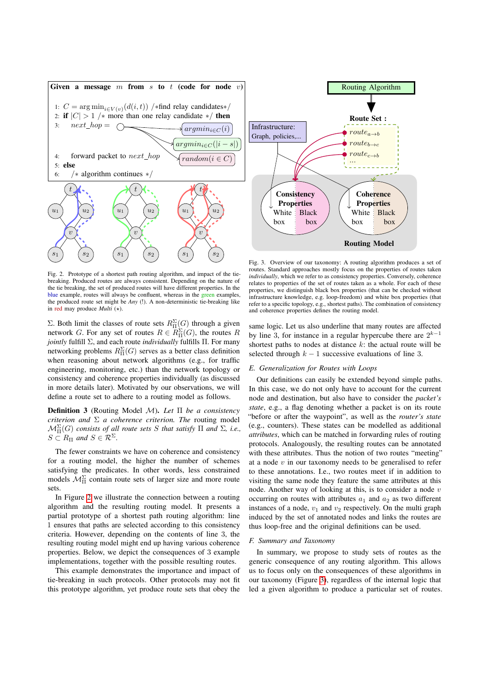

Fig. 2. Prototype of a shortest path routing algorithm, and impact of the tiebreaking. Produced routes are always consistent. Depending on the nature of the tie breaking, the set of produced routes will have different properties. In the blue example, routes will always be confluent, whereas in the green examples, the produced route set might be *Any* (!). A non-deterministic tie-breaking like in red may produce *Multi*  $(\star)$ .

 $\Sigma$ . Both limit the classes of route sets  $R_{\Pi}^{\Sigma}(G)$  through a given network *G*. For any set of routes  $R \in R_{\Pi}^{\Sigma}(G)$ , the routes *R jointly* fulfill  $\Sigma$ , and each route *individually* fulfills  $\Pi$ . For many networking problems  $R_{\Pi}^{\Sigma}(G)$  serves as a better class definition when reasoning about network algorithms (e.g., for traffic engineering, monitoring, etc.) than the network topology or consistency and coherence properties individually (as discussed in more details later). Motivated by our observations, we will define a route set to adhere to a routing model as follows.

**Definition 3** (Routing Model *M*). Let  $\Pi$  be a consistency *criterion and*  $\Sigma$  *a coherence criterion. The* routing model  $\mathcal{M}_{\Pi}^{\Sigma}(G)$  *consists of all route sets S that satisfy*  $\Pi$  *and*  $\Sigma$ *, i.e.,*  $S \subset R_{\Pi}$  and  $S \in \mathcal{R}^{\Sigma}$ .

The fewer constraints we have on coherence and consistency for a routing model, the higher the number of schemes satisfying the predicates. In other words, less constrained models  $\mathcal{M}_{\Pi}^{\Sigma}$  contain route sets of larger size and more route sets.

In Figure  $\boxed{2}$  we illustrate the connection between a routing algorithm and the resulting routing model. It presents a partial prototype of a shortest path routing algorithm: line 1 ensures that paths are selected according to this consistency criteria. However, depending on the contents of line 3, the resulting routing model might end up having various coherence properties. Below, we depict the consequences of 3 example implementations, together with the possible resulting routes.

This example demonstrates the importance and impact of tie-breaking in such protocols. Other protocols may not fit this prototype algorithm, yet produce route sets that obey the



Fig. 3. Overview of our taxonomy: A routing algorithm produces a set of routes. Standard approaches mostly focus on the properties of routes taken *individually*, which we refer to as consistency properties. Conversely, coherence relates to properties of the set of routes taken as a whole. For each of these properties, we distinguish black box properties (that can be checked without infrastructure knowledge, e.g. loop-freedom) and white box properties (that refer to a specific topology, e.g., shortest paths). The combination of consistency and coherence properties defines the routing model.

same logic. Let us also underline that many routes are affected by line 3, for instance in a regular hypercube there are  $2^{k-1}$ shortest paths to nodes at distance *k*: the actual route will be selected through  $k - 1$  successive evaluations of line 3.

# *E. Generalization for Routes with Loops*

Our definitions can easily be extended beyond simple paths. In this case, we do not only have to account for the current node and destination, but also have to consider the *packet's state*, e.g., a flag denoting whether a packet is on its route "before or after the waypoint", as well as the *router's state* (e.g., counters). These states can be modelled as additional *attributes*, which can be matched in forwarding rules of routing protocols. Analogously, the resulting routes can be annotated with these attributes. Thus the notion of two routes "meeting" at a node *v* in our taxonomy needs to be generalised to refer to these annotations. I.e., two routes meet if in addition to visiting the same node they feature the same attributes at this node. Another way of looking at this, is to consider a node *v* occurring on routes with attributes  $a_1$  and  $a_2$  as two different instances of a node,  $v_1$  and  $v_2$  respectively. On the multi graph induced by the set of annotated nodes and links the routes are thus loop-free and the original definitions can be used.

#### *F. Summary and Taxonomy*

In summary, we propose to study sets of routes as the generic consequence of any routing algorithm. This allows us to focus only on the consequences of these algorithms in our taxonomy (Figure  $\overline{3}$ ), regardless of the internal logic that led a given algorithm to produce a particular set of routes.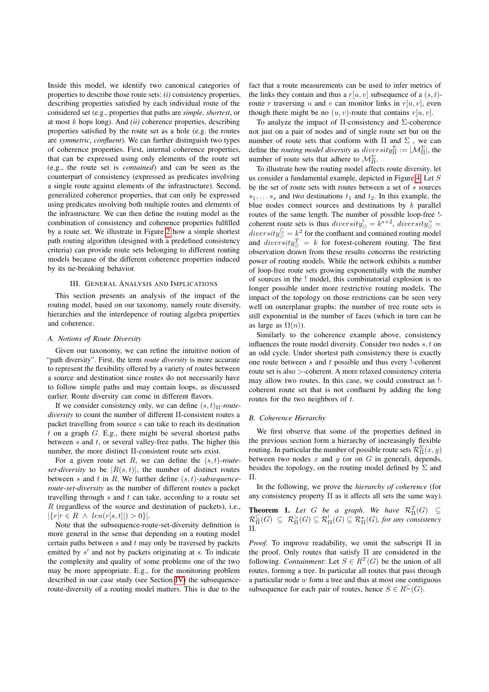Inside this model, we identify two canonical categories of properties to describe those route sets: *(i)* consistency properties, describing properties satisfied by each individual route of the considered set (e.g., properties that paths are *simple*, *shortest*, or at most *k* hops long). And *(ii)* coherence properties, describing properties satisfied by the route set as a hole (e.g. the routes are *symmetric*, *confluent*). We can further distinguish two types of coherence properties. First, internal coherence properties, that can be expressed using only elements of the route set (e.g., the route set is *contained*) and can be seen as the counterpart of consistency (expressed as predicates involving a single route against elements of the infrastructure). Second, generalized coherence properties, that can only be expressed using predicates involving both multiple routes and elements of the infrastructure. We can then define the routing model as the combination of consistency and coherence properties fulfilled by a route set. We illustrate in Figure  $2$  how a simple shortest path routing algorithm (designed with  $\overline{a}$  predefined consistency criteria) can provide route sets belonging to different routing models because of the different coherence properties induced by its tie-breaking behavior.

# III. GENERAL ANALYSIS AND IMPLICATIONS

This section presents an analysis of the impact of the routing model, based on our taxonomy, namely route diversity, hierarchies and the interdepence of routing algebra properties and coherence.

## *A. Notions of Route Diversity*

Given our taxonomy, we can refine the intuitive notion of "path diversity". First, the term *route diversity* is more accurate to represent the flexibility offered by a variety of routes between a source and destination since routes do not necessarily have to follow simple paths and may contain loops, as discussed earlier. Route diversity can come in different flavors.

If we consider consistency only, we can define  $(s, t)$ <sub> $\Box$ </sub>-route $diversity$  to count the number of different  $\Pi$ -consistent routes a packet travelling from source *s* can take to reach its destination *t* on a graph *G*. E.g., there might be several shortest paths between *s* and *t*, or several valley-free paths. The higher this number, the more distinct  $\Pi$ -consistent route sets exist.

For a given route set *R*, we can define the (*s, t*)*-routeset-diversity* to be  $|R(s, t)|$ , the number of distinct routes between *s* and *t* in *R*. We further define (*s, t*)*-subsequenceroute-set-diversity* as the number of different routes a packet travelling through *s* and *t* can take, according to a route set *R* (regardless of the source and destination of packets), i.e.,  $|\{r|r \in R \land len(r[s, t]|) > 0\}|.$ 

Note that the subsequence-route-set-diversity definition is more general in the sense that depending on a routing model certain paths between *s* and *t* may only be traversed by packets emitted by *s'* and not by packets originating at *s*. To indicate the complexity and quality of some problems one of the two may be more appropriate. E.g., for the monitoring problem described in our case study (see Section  $|V\rangle$  the subsequenceroute-diversity of a routing model matters. This is due to the

fact that a route measurements can be used to infer metrics of the links they contain and thus a  $r[u, v]$  subsequence of a  $(s, t)$ route *r* traversing *u* and *v* can monitor links in  $r[u, v]$ , even though there might be no  $(u, v)$ -route that contains  $r[u, v]$ .

To analyze the impact of  $\Pi$ -consistency and  $\Sigma$ -coherence not just on a pair of nodes and of single route set but on the number of route sets that conform with  $\Pi$  and  $\Sigma$ , we can define the *routing model diversity* as  $diversity_{\Pi}^{\Sigma} := |\mathcal{M}_{\Pi}^{\Sigma}|$ , the number of route sets that adhere to  $\mathcal{M}_{\Pi}^{\Sigma}$ .

To illustrate how the routing model affects route diversity, let us consider a fundamental example, depicted in Figure 4. Let S be the set of route sets with routes between a set of *s* sources  $s_1, \ldots, s_s$  and two destinations  $t_1$  and  $t_2$ . In this example, the blue nodes connect sources and destinations by *k* parallel routes of the same length. The number of possible loop-free ! coherent route sets is thus  $diversity_{\oslash}^1 = k^{s+2}$ ,  $diversity_{\oslash}^2 =$  $diversity^{\subseteq}_{\oslash} = k^2$  for the confluent and contained routing model and  $diversity^T_{\oslash} = k$  for forest-coherent routing. The first observation drawn from these results concerns the restricting power of routing models. While the network exhibits a number of loop-free route sets growing exponentially with the number of sources in the ! model, this combinatorial explosion is no longer possible under more restrictive routing models. The impact of the topology on those restrictions can be seen very well on outerplanar graphs: the number of tree route sets is still exponential in the number of faces (which in turn can be as large as  $\Omega(n)$ ).

Similarly to the coherence example above, consistency influences the route model diversity. Consider two nodes *s, t* on an odd cycle. Under shortest path consistency there is exactly one route between *s* and *t* possible and thus every !-coherent route set is also *>*-coherent. A more relaxed consistency criteria may allow two routes. In this case, we could construct an ! coherent route set that is not confluent by adding the long routes for the two neighbors of *t*.

#### *B. Coherence Hierarchy*

We first observe that some of the properties defined in the previous section form a hierarchy of increasingly flexible routing. In particular the number of possible route sets  $\mathcal{R}^{\Sigma}_{\Pi}(x, y)$ between two nodes *x* and *y* (or on *G* in general), depends, besides the topology, on the routing model defined by  $\Sigma$  and  $\Pi$ .

In the following, we prove the *hierarchy of coherence* (for any consistency property  $\Pi$  as it affects all sets the same way).

**Theorem 1.** Let G be a graph. We have  $\mathcal{R}^T_\Pi(G) \subseteq$  $\mathcal{R}_{\Pi}^{\subseteq}(G) \subseteq \mathcal{R}_{\Pi}^{\times}(G) \subseteq \mathcal{R}_{\Pi}^{\times}(G) \subseteq \mathcal{R}_{\Pi}^{\times}(G)$ , for any consistency ⇧*.*

*Proof.* To improve readability, we omit the subscript  $\Pi$  in the proof. Only routes that satisfy  $\Pi$  are considered in the following. *Containment*: Let  $S \in \mathbb{R}^T(G)$  be the union of all routes, forming a tree. In particular all routes that pass through a particular node *w* form a tree and thus at most one contiguous subsequence for each pair of routes, hence  $S \in R^{\subseteq}(G)$ .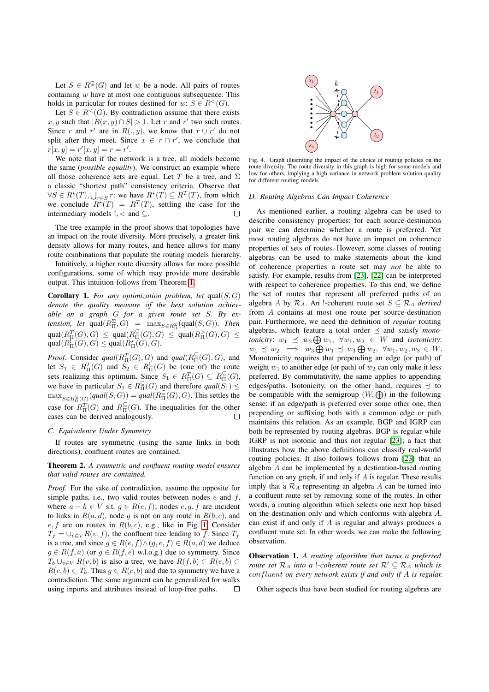Let  $S \in R^{\subseteq}(G)$  and let *w* be a node. All pairs of routes containing *w* have at most one contiguous subsequence. This holds in particular for routes destined for  $w: S \in R^<(G)$ .

Let  $S \in R^<(G)$ . By contradiction assume that there exists *x, y* such that  $|R(x, y) \cap S| > 1$ . Let *r* and *r'* two such routes. Since *r* and *r'* are in  $R(., y)$ , we know that  $r \cup r'$  do not split after they meet. Since  $x \in r \cap r'$ , we conclude that  $r[x, y] = r'[x, y] = r = r'.$ 

We note that if the network is a tree, all models become the same (*possible equality*). We construct an example where all those coherence sets are equal. Let *T* be a tree, and  $\Sigma$ a classic "shortest path" consistency criteria. Observe that  $\forall S \in R^*(T), \bigcup_{r \in S} r$ : we have  $R^*(T) \subseteq R^T(T)$ , from which we conclude  $R^*(T) = R^T(T)$ , settling the case for the intermediary models *!*, < and ⊆.

The tree example in the proof shows that topologies have an impact on the route diversity. More precisely, a greater link density allows for many routes, and hence allows for many route combinations that populate the routing models hierarchy.

Intuitively, a higher route diversity allows for more possible configurations, some of which may provide more desirable output. This intuition follows from Theorem 1.

Corollary 1. *For any optimization problem, let* qual(*S, G*) *denote the quality measure of the best solution achievable on a graph G for a given route set S. By extension, let*  $\text{qual}(R_{\Pi}^{\Sigma}, G) = \max_{S \in R_{\Pi}^{\Sigma}} (\text{qual}(S, G))$ *. Then*  $\text{qual}(R_{\Pi}^T(G), G) \leq \text{qual}(R_{\Pi}^{\subseteq}(G), G) \leq \text{qual}(R_{\Pi}^>(G), G) \leq$  $\text{qual}(R^1_\Pi(G), G) \leq \text{qual}(R^*_\Pi(G), G)$ .

*Proof.* Consider  $qual(R_{\Pi}^{T}(G), G)$  and  $qual(R_{\Pi}^{\subseteq}(G), G)$ , and let  $S_1 \in R_{\Pi}^T(G)$  and  $S_2 \in R_{\Pi}^{\subseteq}(G)$  be (one of) the route sets realizing this optimum. Since  $S_1 \in R_{\Pi}^T(G) \subseteq R_{\Pi}^{\subseteq}(G)$ , we have in particular  $S_1 \in R_{\Pi}^{\succeq}(G)$  and therefore  $qual(S_1) \leq$  $\max_{S \in R^{\subseteq}_{\Pi}(G)}(qual(S, G)) = qual(R^{\subseteq}_{\Pi}(G), G)$ . This settles the case for  $R_{\Pi}^T(G)$  and  $R_{\Pi}^{\subseteq}(G)$ . The inequalities for the other cases can be derived analogously.

#### *C. Equivalence Under Symmetry*

If routes are symmetric (using the same links in both directions), confluent routes are contained.

Theorem 2. *A symmetric and confluent routing model ensures that valid routes are contained.*

*Proof.* For the sake of contradiction, assume the opposite for simple paths, i.e., two valid routes between nodes *e* and *f*, where  $a - h \in V$  s.t.  $g \in R(e, f)$ ; nodes  $e, g, f$  are incident to links in  $R(a, d)$ , node g is not on any route in  $R(b, c)$ , and  $e, f$  are on routes in  $R(b, c)$ , e.g., like in Fig.  $\boxed{1}$  Consider  $T_f = \bigcup_{v \in V} R(v, f)$ , the confluent tree leading to *f*. Since  $T_f$ is a tree, and since  $g \in R(e, f) \land (g, e, f) \in R(a, d)$  we deduce  $g \in R(f, a)$  (or  $g \in R(f, e)$  w.l.o.g.) due to symmetry. Since  $T_b \cup_{v \in V} R(v, b)$  is also a tree, we have  $R(f, b) \subset R(e, b) \subset$  $R(c, b) \subset T_b$ . Thus  $g \in R(c, b)$  and due to symmetry we have a contradiction. The same argument can be generalized for walks using inports and attributes instead of loop-free paths.  $\Box$ 



Fig. 4. Graph illustrating the impact of the choice of routing policies on the route diversity. The route diversity in this graph is high for some models and low for others, implying a high variance in network problem solution quality for different routing models.

# *D. Routing Algebras Can Impact Coherence*

As mentioned earlier, a routing algebra can be used to describe consistency properties: for each source-destination pair we can determine whether a route is preferred. Yet most routing algebras do not have an impact on coherence properties of sets of routes. However, some classes of routing algebras can be used to make statements about the kind of coherence properties a route set may *not* be able to satisfy. For example, results from [23], [22] can be interpreted with respect to coherence properties. To this end, we define the set of routes that represent all preferred paths of an algebra *A* by  $\mathcal{R}_A$ . An !-coherent route set  $S \subseteq \mathcal{R}_A$  *derived* from *A* contains at most one route per source-destination pair. Furthermore, we need the definition of *regular* routing algebras, which feature a total order  $\preceq$  and satisfy *monotonicity*:  $w_1 \leq w_2 \bigoplus w_1, \forall w_1, w_2 \in W$  and *isotonicity*:  $w_1 \preceq w_2 \implies w_3 \bigoplus w_1 \preceq w_3 \bigoplus w_2, \ \forall w_1, w_2, w_3 \in W.$ Monotonicity requires that prepending an edge (or path) of weight  $w_1$  to another edge (or path) of  $w_2$  can only make it less preferred. By commutativity, the same applies to appending edges/paths. Isotonicity, on the other hand, requires  $\prec$  to be compatible with the semigroup  $(W, \bigoplus)$  in the following sense: if an edge/path is preferred over some other one, then prepending or suffixing both with a common edge or path maintains this relation. As an example, BGP and IGRP can both be represented by routing algebras. BGP is regular while IGRP is not isotonic and thus not regular  $[23]$ ; a fact that illustrates how the above definitions can classify real-world routing policies. It also follows follows from [23] that an algebra *A* can be implemented by a destination-based routing function on any graph, if and only if *A* is regular. These results imply that a  $\mathcal{R}_A$  representing an algebra A can be turned into a confluent route set by removing some of the routes. In other words, a routing algorithm which selects one next hop based on the destination only and which conforms with algebra *A*, can exist if and only if *A* is regular and always produces a confluent route set. In other words, we can make the following observation.

Observation 1. *A routing algorithm that turns a preferred route set*  $\mathcal{R}_A$  *into a !-coherent route set*  $\mathcal{R}' \subseteq \mathcal{R}_A$  *which is confluent on every network exists if and only if A is regular.*

Other aspects that have been studied for routing algebras are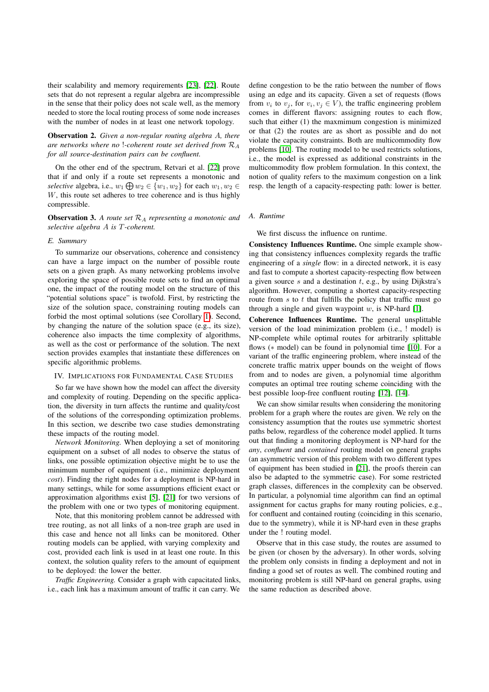their scalability and memory requirements  $[23]$ ,  $[22]$ . Route sets that do not represent a regular algebra are incompressible in the sense that their policy does not scale well, as the memory needed to store the local routing process of some node increases with the number of nodes in at least one network topology.

Observation 2. *Given a non-regular routing algebra A, there are networks where no* !*-coherent route set derived from R<sup>A</sup> for all source-destination pairs can be confluent.*

On the other end of the spectrum, Retvari et al. [22] prove that if and only if a route set represents a monotonic and *selective* algebra, i.e.,  $w_1 \bigoplus w_2 \in \{w_1, w_2\}$  for each  $w_1, w_2 \in$ *W*, this route set adheres to tree coherence and is thus highly compressible.

Observation 3. *A route set R<sup>A</sup> representing a monotonic and selective algebra A is T-coherent.*

#### *E. Summary*

To summarize our observations, coherence and consistency can have a large impact on the number of possible route sets on a given graph. As many networking problems involve exploring the space of possible route sets to find an optimal one, the impact of the routing model on the structure of this "potential solutions space" is twofold. First, by restricting the size of the solution space, constraining routing models can forbid the most optimal solutions (see Corollary  $\boxed{1}$ ). Second, by changing the nature of the solution space (e.g., its size), coherence also impacts the time complexity of algorithms, as well as the cost or performance of the solution. The next section provides examples that instantiate these differences on specific algorithmic problems.

# IV. IMPLICATIONS FOR FUNDAMENTAL CASE STUDIES

So far we have shown how the model can affect the diversity and complexity of routing. Depending on the specific application, the diversity in turn affects the runtime and quality/cost of the solutions of the corresponding optimization problems. In this section, we describe two case studies demonstrating these impacts of the routing model.

*Network Monitoring.* When deploying a set of monitoring equipment on a subset of all nodes to observe the status of links, one possible optimization objective might be to use the minimum number of equipment (i.e., minimize deployment *cost*). Finding the right nodes for a deployment is NP-hard in many settings, while for some assumptions efficient exact or approximation algorithms exist  $[5]$ ,  $[21]$  for two versions of the problem with one or two types of monitoring equipment.

Note, that this monitoring problem cannot be addressed with tree routing, as not all links of a non-tree graph are used in this case and hence not all links can be monitored. Other routing models can be applied, with varying complexity and cost, provided each link is used in at least one route. In this context, the solution quality refers to the amount of equipment to be deployed: the lower the better.

*Traffic Engineering.* Consider a graph with capacitated links, i.e., each link has a maximum amount of traffic it can carry. We

define congestion to be the ratio between the number of flows using an edge and its capacity. Given a set of requests (flows from  $v_i$  to  $v_j$ , for  $v_i, v_j \in V$ ), the traffic engineering problem comes in different flavors: assigning routes to each flow, such that either (1) the maxmimum congestion is minimized or that (2) the routes are as short as possible and do not violate the capacity constraints. Both are multicommodity flow problems [10]. The routing model to be used restricts solutions, i.e., the model is expressed as additional constraints in the multicommodity flow problem formulation. In this context, the notion of quality refers to the maximum congestion on a link resp. the length of a capacity-respecting path: lower is better.

#### *A. Runtime*

We first discuss the influence on runtime.

Consistency Influences Runtime. One simple example showing that consistency influences complexity regards the traffic engineering of a *single* flow: in a directed network, it is easy and fast to compute a shortest capacity-respecting flow between a given source *s* and a destination *t*, e.g., by using Dijkstra's algorithm. However, computing a shortest capacity-respecting route from *s* to *t* that fulfills the policy that traffic must go through a single and given waypoint  $w$ , is NP-hard  $[1]$ .

Coherence Influences Runtime. The general unsplittable version of the load minimization problem (i.e., ! model) is NP-complete while optimal routes for arbitrarily splittable flows ( $*$  model) can be found in polynomial time  $[10]$ . For a variant of the traffic engineering problem, where instead of the concrete traffic matrix upper bounds on the weight of flows from and to nodes are given, a polynomial time algorithm computes an optimal tree routing scheme coinciding with the best possible loop-free confluent routing [12], [14].

We can show similar results when considering the monitoring problem for a graph where the routes are given. We rely on the consistency assumption that the routes use symmetric shortest paths below, regardless of the coherence model applied. It turns out that finding a monitoring deployment is NP-hard for the *any*, *confluent* and *contained* routing model on general graphs (an asymmetric version of this problem with two different types of equipment has been studied in  $[21]$ , the proofs therein can also be adapted to the symmetric case). For some restricted graph classes, differences in the complexity can be observed. In particular, a polynomial time algorithm can find an optimal assignment for cactus graphs for many routing policies, e.g., for confluent and contained routing (coinciding in this scenario, due to the symmetry), while it is NP-hard even in these graphs under the ! routing model.

Observe that in this case study, the routes are assumed to be given (or chosen by the adversary). In other words, solving the problem only consists in finding a deployment and not in finding a good set of routes as well. The combined routing and monitoring problem is still NP-hard on general graphs, using the same reduction as described above.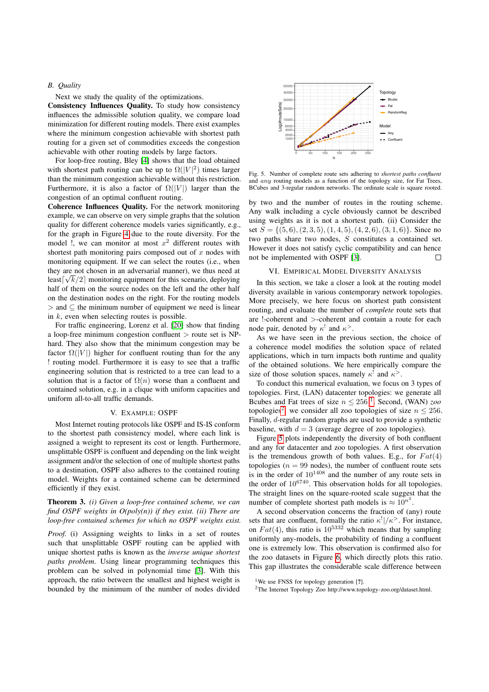# *B. Quality*

Next we study the quality of the optimizations.

Consistency Influences Quality. To study how consistency influences the admissible solution quality, we compare load minimization for different routing models. There exist examples where the minimum congestion achievable with shortest path routing for a given set of commodities exceeds the congestion achievable with other routing models by large factors.

For loop-free routing, Bley  $[4]$  shows that the load obtained with shortest path routing can be up to  $\Omega(|V|^2)$  times larger than the minimum congestion achievable without this restriction. Furthermore, it is also a factor of  $\Omega(|V|)$  larger than the congestion of an optimal confluent routing.

Coherence Influences Quality. For the network monitoring example, we can observe on very simple graphs that the solution quality for different coherence models varies significantly, e.g., for the graph in Figure  $\sqrt{4}$  due to the route diversity. For the model !, we can monitor at most *x*<sup>2</sup> different routes with shortest path monitoring pairs composed out of *x* nodes with monitoring equipment. If we can select the routes (i.e., when they are not chosen in an adversarial manner), we thus need at  $\frac{\text{Im}\left[\sqrt{k}/2\right]}{k}$  monitoring equipment for this scenario, deploying half of them on the source nodes on the left and the other half on the destination nodes on the right. For the routing models > and ⊆ the minimum number of equipment we need is linear in *k*, even when selecting routes is possible.

For traffic engineering, Lorenz et al. [20] show that finding a loop-free minimum congestion confluent *>* route set is NPhard. They also show that the minimum congestion may be factor  $\Omega(|V|)$  higher for confluent routing than for the any ! routing model. Furthermore it is easy to see that a traffic engineering solution that is restricted to a tree can lead to a solution that is a factor of  $\Omega(n)$  worse than a confluent and contained solution, e.g. in a clique with uniform capacities and uniform all-to-all traffic demands.

## V. EXAMPLE: OSPF

Most Internet routing protocols like OSPF and IS-IS conform to the shortest path consistency model, where each link is assigned a weight to represent its cost or length. Furthermore, unsplittable OSPF is confluent and depending on the link weight assignment and/or the selection of one of multiple shortest paths to a destination, OSPF also adheres to the contained routing model. Weights for a contained scheme can be determined efficiently if they exist.

# Theorem 3. *(i) Given a loop-free contained scheme, we can find OSPF weights in O(poly(n)) if they exist. (ii) There are loop-free contained schemes for which no OSPF weights exist.*

*Proof.* (i) Assigning weights to links in a set of routes such that unsplittable OSPF routing can be applied with unique shortest paths is known as the *inverse unique shortest paths problem*. Using linear programming techniques this problem can be solved in polynomial time  $[3]$ . With this approach, the ratio between the smallest and highest weight is bounded by the minimum of the number of nodes divided



Fig. 5. Number of complete route sets adhering to *shortest paths confluent* and *any* routing models as a function of the topology size, for Fat Trees, BCubes and 3-regular random networks. The ordinate scale is square rooted.

by two and the number of routes in the routing scheme. Any walk including a cycle obviously cannot be described using weights as it is not a shortest path. (ii) Consider the set  $S = \{(5,6), (2,3,5), (1,4,5), (4,2,6), (3,1,6)\}$ . Since no two paths share two nodes, *S* constitutes a contained set. However it does not satisfy cyclic compatibility and can hence not be implemented with OSPF [3].  $\Box$ 

#### VI. EMPIRICAL MODEL DIVERSITY ANALYSIS

In this section, we take a closer a look at the routing model diversity available in various contemporary network topologies. More precisely, we here focus on shortest path consistent routing, and evaluate the number of *complete* route sets that are !-coherent and *>*-coherent and contain a route for each node pair, denoted by  $\kappa^!$  and  $\kappa^>$ .

As we have seen in the previous section, the choice of a coherence model modifies the solution space of related applications, which in turn impacts both runtime and quality of the obtained solutions. We here empirically compare the size of those solution spaces, namely  $\kappa^2$  and  $\kappa^2$ .

To conduct this numerical evaluation, we focus on 3 types of topologies. First, (LAN) datacenter topologies: we generate all Bcubes and Fat trees of size  $n \leq 256 \sqrt{1}$  Second, (WAN) *zoo* topologies<sup>2</sup> we consider all zoo topologies of size  $n \le 256$ . Finally, *d*-regular random graphs are used to provide a synthetic baseline, with  $d = 3$  (average degree of zoo topologies).

Figure  $\overline{5}$  plots independently the diversity of both confluent and any for datacenter and zoo topologies. A first observation is the tremendous growth of both values. E.g., for  $Fat(4)$ topologies ( $n = 99$  nodes), the number of confluent route sets is in the order of  $10^{1408}$  and the number of any route sets in the order of  $10^{6740}$ . This observation holds for all topologies. The straight lines on the square-rooted scale suggest that the number of complete shortest path models is  $\approx 10^{n^2}$ .

A second observation concerns the fraction of (any) route sets that are confluent, formally the ratio  $\kappa^!/\kappa^>$ . For instance, on  $Fat(4)$ , this ratio is  $10^{5332}$  which means that by sampling uniformly any-models, the probability of finding a confluent one is extremely low. This observation is confirmed also for the zoo datasets in Figure  $\overline{6}$ , which directly plots this ratio. This gap illustrates the considerable scale difference between

<sup>&</sup>lt;sup>1</sup>We use FNSS for topology generation [?].

<sup>2</sup>The Internet Topology Zoo http://www.topology-zoo.org/dataset.html.